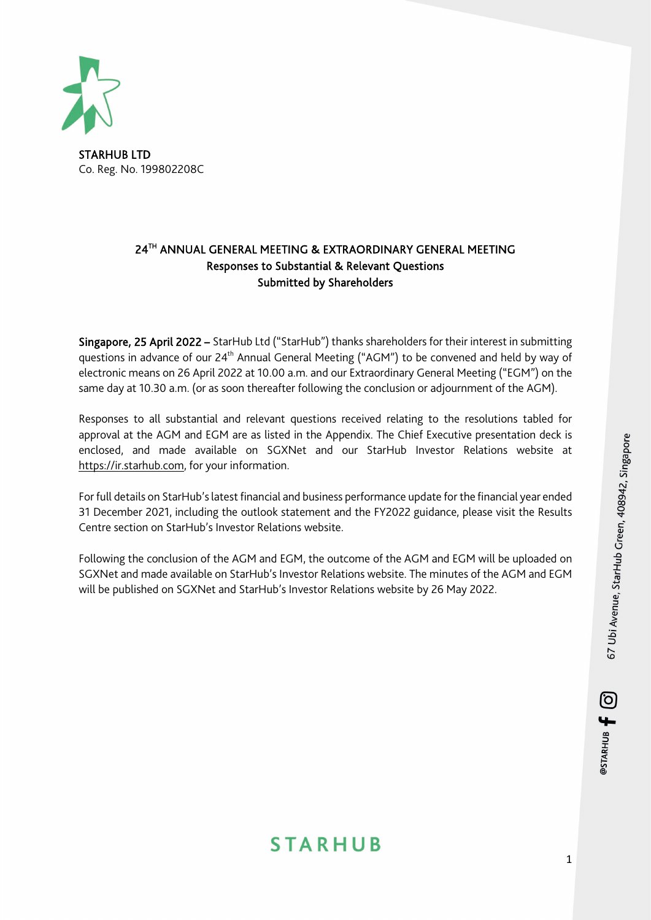

Co. Reg. No. 199802208C

### 24TH ANNUAL GENERAL MEETING & EXTRAORDINARY GENERAL MEETING Responses to Substantial & Relevant Questions Submitted by Shareholders

Singapore, 25 April 2022 – StarHub Ltd ("StarHub") thanks shareholders for their interest in submitting questions in advance of our 24<sup>th</sup> Annual General Meeting ("AGM") to be convened and held by way of electronic means on 26 April 2022 at 10.00 a.m. and our Extraordinary General Meeting ("EGM") on the same day at 10.30 a.m. (or as soon thereafter following the conclusion or adjournment of the AGM).

Responses to all substantial and relevant questions received relating to the resolutions tabled for approval at the AGM and EGM are as listed in the Appendix. The Chief Executive presentation deck is enclosed, and made available on SGXNet and our StarHub Investor Relations website at https://ir.starhub.com, for your information.

For full details on StarHub'slatest financial and business performance update for the financial year ended 31 December 2021, including the outlook statement and the FY2022 guidance, please visit the [Results](http://ir.starhub.com/investors/?page=Results)  [Centre](http://ir.starhub.com/investors/?page=Results) section on StarHub's Investor Relations website.

Following the conclusion of the AGM and EGM, the outcome of the AGM and EGM will be uploaded on SGXNet and made available on StarHub'[s Investor Relations website.](http://ir.starhub.com/agm-egm) The minutes of the AGM and EGM will be published on SGXNet and StarHub's Investor Relations website by 26 May 2022.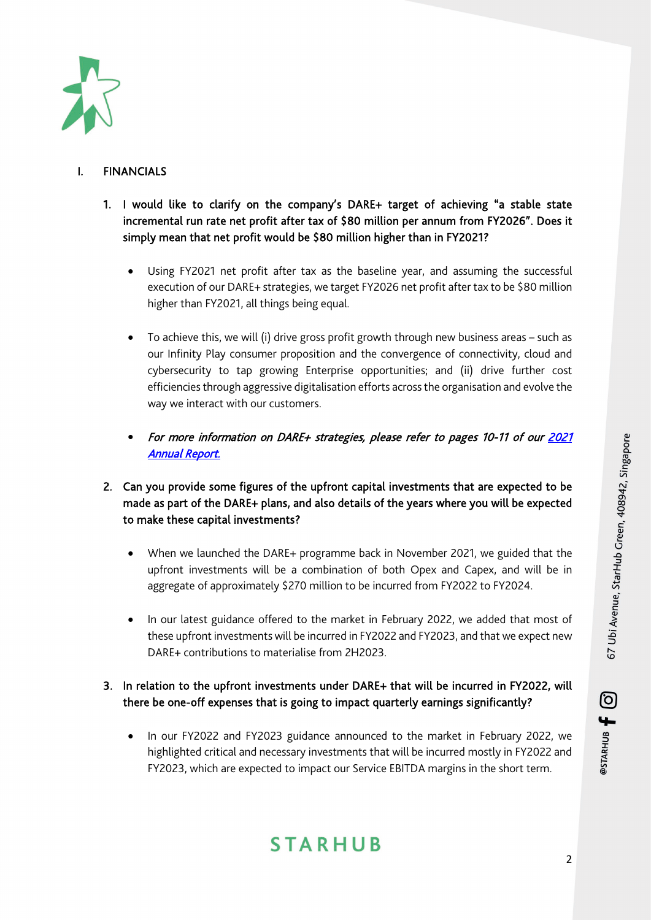

### **FINANCIALS**

- 1. I would like to clarify on the company's DARE+ target of achieving "a stable state incremental run rate net profit after tax of \$80 million per annum from FY2026". Does it simply mean that net profit would be \$80 million higher than in FY2021?
	- Using FY2021 net profit after tax as the baseline year, and assuming the successful execution of our DARE+ strategies, we target FY2026 net profit after tax to be \$80 million higher than FY2021, all things being equal.
	- To achieve this, we will (i) drive gross profit growth through new business areas such as our Infinity Play consumer proposition and the convergence of connectivity, cloud and cybersecurity to tap growing Enterprise opportunities; and (ii) drive further cost efficiencies through aggressive digitalisation efforts across the organisation and evolve the way we interact with our customers.
	- For more information on DARE+ strategies, please refer to pages 10-11 of our [2021](https://ir.starhub.com/newsroom/20220404_071127_CC3_TLA2EP0G7SO429A9.1.pdf)  [Annual Report.](https://ir.starhub.com/newsroom/20220404_071127_CC3_TLA2EP0G7SO429A9.1.pdf)
- 2. Can you provide some figures of the upfront capital investments that are expected to be made as part of the DARE+ plans, and also details of the years where you will be expected to make these capital investments?
	- When we launched the DARE+ programme back in November 2021, we guided that the upfront investments will be a combination of both Opex and Capex, and will be in aggregate of approximately \$270 million to be incurred from FY2022 to FY2024.
	- In our latest guidance offered to the market in February 2022, we added that most of these upfront investments will be incurred in FY2022 and FY2023, and that we expect new DARE+ contributions to materialise from 2H2023.

### 3. In relation to the upfront investments under DARE+ that will be incurred in FY2022, will there be one-off expenses that is going to impact quarterly earnings significantly?

• In our FY2022 and FY2023 guidance announced to the market in February 2022, we highlighted critical and necessary investments that will be incurred mostly in FY2022 and FY2023, which are expected to impact our Service EBITDA margins in the short term.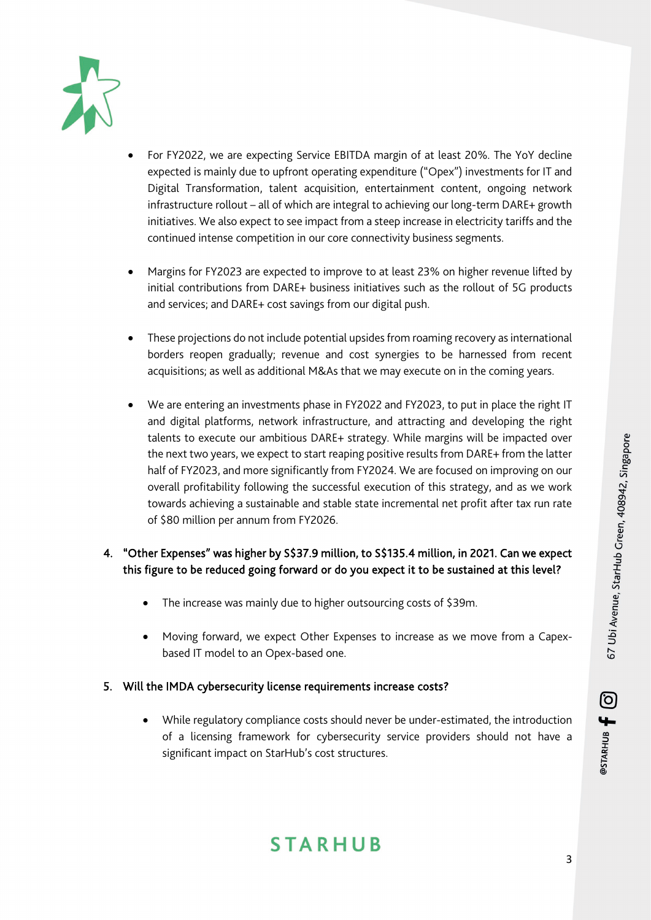

- For FY2022, we are expecting Service EBITDA margin of at least 20%. The YoY decline expected is mainly due to upfront operating expenditure ("Opex") investments for IT and Digital Transformation, talent acquisition, entertainment content, ongoing network infrastructure rollout – all of which are integral to achieving our long-term DARE+ growth initiatives. We also expect to see impact from a steep increase in electricity tariffs and the continued intense competition in our core connectivity business segments.
- Margins for FY2023 are expected to improve to at least 23% on higher revenue lifted by initial contributions from DARE+ business initiatives such as the rollout of 5G products and services; and DARE+ cost savings from our digital push.
- These projections do not include potential upsidesfrom roaming recovery as international borders reopen gradually; revenue and cost synergies to be harnessed from recent acquisitions; as well as additional M&As that we may execute on in the coming years.
- We are entering an investments phase in FY2022 and FY2023, to put in place the right IT and digital platforms, network infrastructure, and attracting and developing the right talents to execute our ambitious DARE+ strategy. While margins will be impacted over the next two years, we expect to start reaping positive results from DARE+ from the latter half of FY2023, and more significantly from FY2024. We are focused on improving on our overall profitability following the successful execution of this strategy, and as we work towards achieving a sustainable and stable state incremental net profit after tax run rate of \$80 million per annum from FY2026.

### 4. "Other Expenses" was higher by S\$37.9 million, to S\$135.4 million, in 2021. Can we expect this figure to be reduced going forward or do you expect it to be sustained at this level?

- The increase was mainly due to higher outsourcing costs of \$39m.
- Moving forward, we expect Other Expenses to increase as we move from a Capexbased IT model to an Opex-based one.

### 5. Will the IMDA cybersecurity license requirements increase costs?

• While regulatory compliance costs should never be under-estimated, the introduction of a licensing framework for cybersecurity service providers should not have a significant impact on StarHub's cost structures.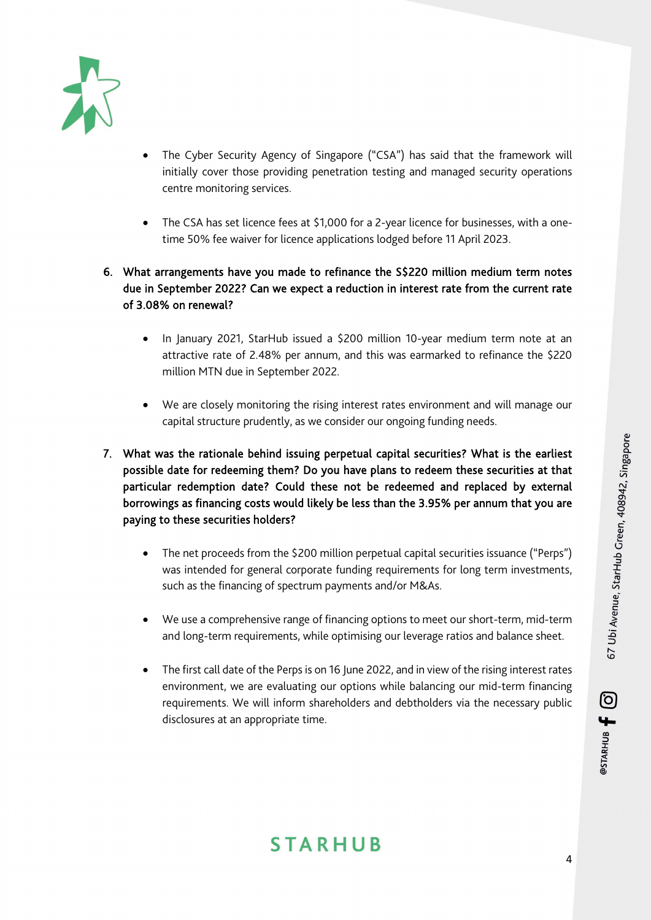

- The Cyber Security Agency of Singapore ("CSA") has said that the framework will initially cover those providing penetration testing and managed security operations centre monitoring services.
- The CSA has set licence fees at \$1,000 for a 2-year licence for businesses, with a onetime 50% fee waiver for licence applications lodged before 11 April 2023.
- 6. What arrangements have you made to refinance the S\$220 million medium term notes due in September 2022? Can we expect a reduction in interest rate from the current rate of 3.08% on renewal?
	- In January 2021, StarHub issued a \$200 million 10-year medium term note at an attractive rate of 2.48% per annum, and this was earmarked to refinance the \$220 million MTN due in September 2022.
	- We are closely monitoring the rising interest rates environment and will manage our capital structure prudently, as we consider our ongoing funding needs.
- 7. What was the rationale behind issuing perpetual capital securities? What is the earliest possible date for redeeming them? Do you have plans to redeem these securities at that particular redemption date? Could these not be redeemed and replaced by external borrowings as financing costs would likely be less than the 3.95% per annum that you are paying to these securities holders?
	- The net proceeds from the \$200 million perpetual capital securities issuance ("Perps") was intended for general corporate funding requirements for long term investments, such as the financing of spectrum payments and/or M&As.
	- We use a comprehensive range of financing options to meet our short-term, mid-term and long-term requirements, while optimising our leverage ratios and balance sheet.
	- The first call date of the Perps is on 16 June 2022, and in view of the rising interest rates environment, we are evaluating our options while balancing our mid-term financing requirements. We will inform shareholders and debtholders via the necessary public disclosures at an appropriate time.

#### 4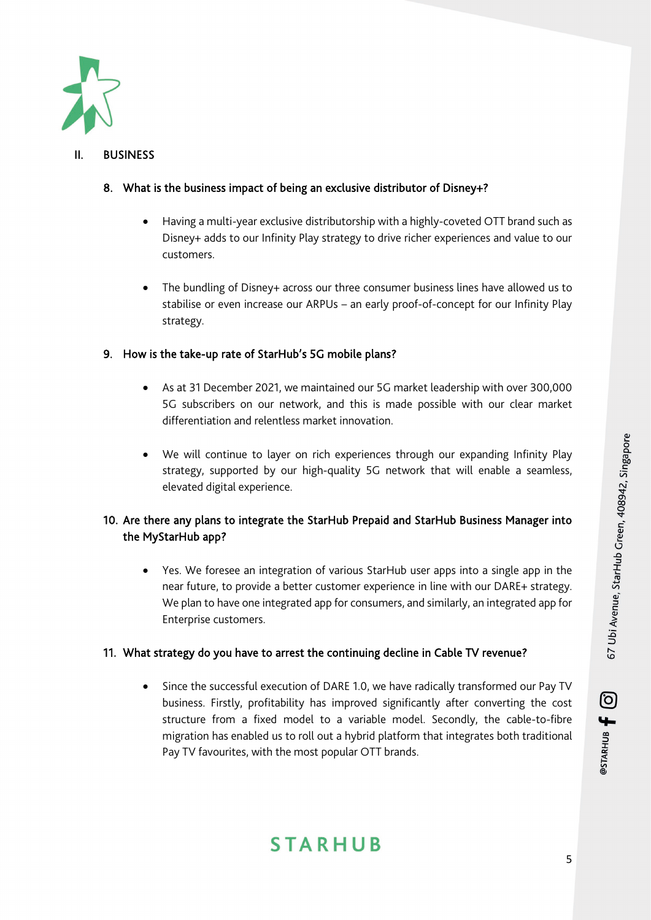

### II. BUSINESS

### 8. What is the business impact of being an exclusive distributor of Disney+?

- Having a multi-year exclusive distributorship with a highly-coveted OTT brand such as Disney+ adds to our Infinity Play strategy to drive richer experiences and value to our customers.
- The bundling of Disney+ across our three consumer business lines have allowed us to stabilise or even increase our ARPUs – an early proof-of-concept for our Infinity Play strategy.

### 9. How is the take-up rate of StarHub's 5G mobile plans?

- As at 31 December 2021, we maintained our 5G market leadership with over 300,000 5G subscribers on our network, and this is made possible with our clear market differentiation and relentless market innovation.
- We will continue to layer on rich experiences through our expanding Infinity Play strategy, supported by our high-quality 5G network that will enable a seamless, elevated digital experience.

### 10. Are there any plans to integrate the StarHub Prepaid and StarHub Business Manager into the MyStarHub app?

• Yes. We foresee an integration of various StarHub user apps into a single app in the near future, to provide a better customer experience in line with our DARE+ strategy. We plan to have one integrated app for consumers, and similarly, an integrated app for Enterprise customers.

### 11. What strategy do you have to arrest the continuing decline in Cable TV revenue?

• Since the successful execution of DARE 1.0, we have radically transformed our Pay TV business. Firstly, profitability has improved significantly after converting the cost structure from a fixed model to a variable model. Secondly, the cable-to-fibre migration has enabled us to roll out a hybrid platform that integrates both traditional Pay TV favourites, with the most popular OTT brands.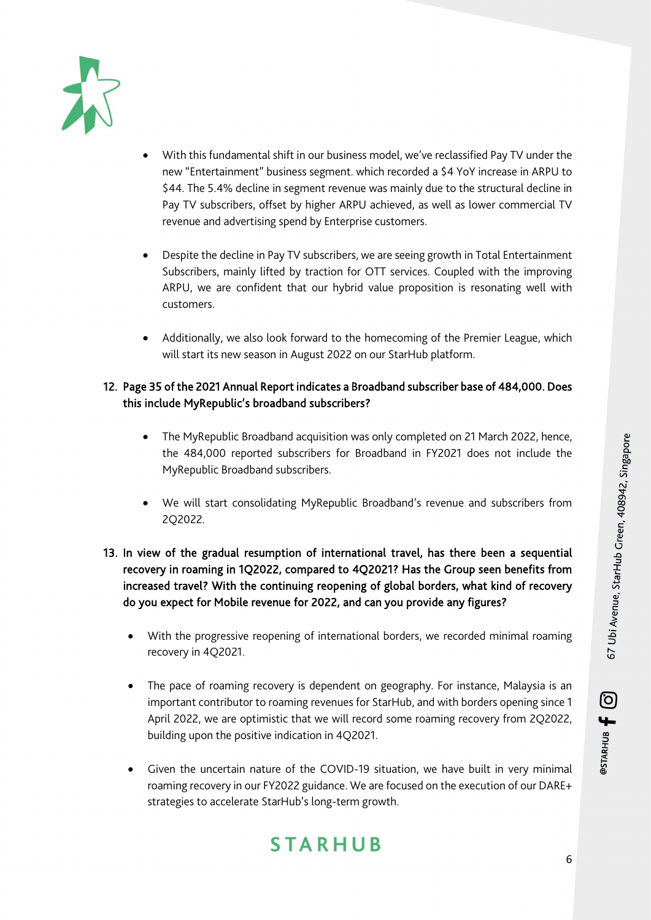

- With this fundamental shift in our business model, we've reclassified Pay TV under the new "Entertainment" business segment. which recorded a \$4 YoY increase in ARPU to \$44. The 5.4% decline in segment revenue was mainly due to the structural decline in Pay TV subscribers, offset by higher ARPU achieved, as well as lower commercial TV revenue and advertising spend by Enterprise customers.
- Despite the decline in Pay TV subscribers, we are seeing growth in Total Entertainment Subscribers, mainly lifted by traction for OTT services. Coupled with the improving ARPU, we are confident that our hybrid value proposition is resonating well with customers.
- Additionally, we also look forward to the homecoming of the Premier League, which will start its new season in August 2022 on our StarHub platform.

### 12. Page 35 of the 2021 Annual Report indicates a Broadband subscriber base of 484,000. Does this include MyRepublic's broadband subscribers?

- The MyRepublic Broadband acquisition was only completed on 21 March 2022, hence, the 484,000 reported subscribers for Broadband in FY2021 does not include the MyRepublic Broadband subscribers.
- We will start consolidating MyRepublic Broadband's revenue and subscribers from 2Q2022.
- 13. In view of the gradual resumption of international travel, has there been a sequential recovery in roaming in 1Q2022, compared to 4Q2021? Has the Group seen benefits from increased travel? With the continuing reopening of global borders, what kind of recovery do you expect for Mobile revenue for 2022, and can you provide any figures?
	- With the progressive reopening of international borders, we recorded minimal roaming recovery in 4Q2021.
	- The pace of roaming recovery is dependent on geography. For instance, Malaysia is an important contributor to roaming revenues for StarHub, and with borders opening since 1 April 2022, we are optimistic that we will record some roaming recovery from 2Q2022, building upon the positive indication in 4Q2021.
	- Given the uncertain nature of the COVID-19 situation, we have built in very minimal roaming recovery in our FY2022 guidance. We are focused on the execution of our DARE+ strategies to accelerate StarHub's long-term growth.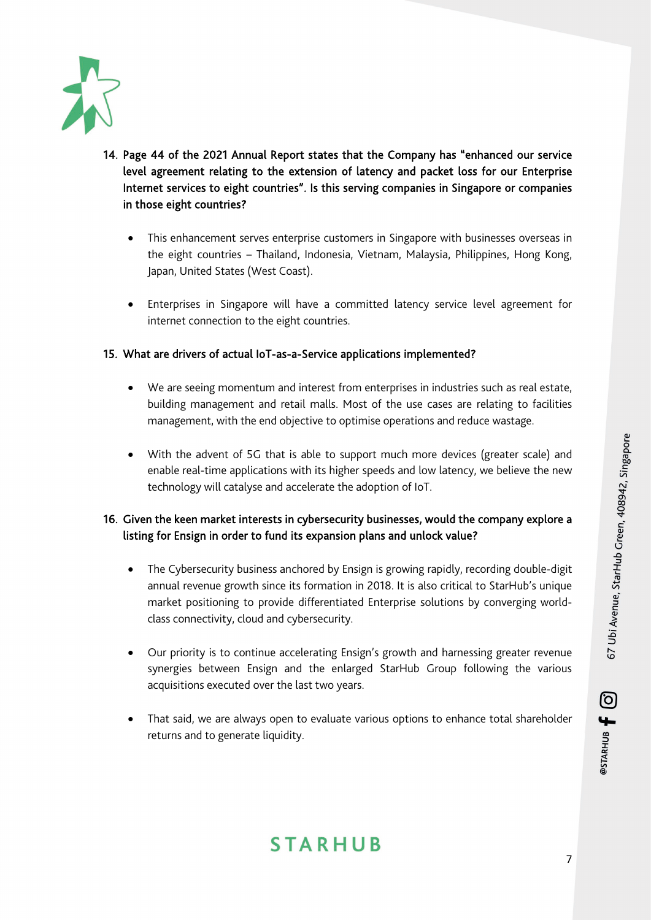

- 14. Page 44 of the 2021 Annual Report states that the Company has "enhanced our service level agreement relating to the extension of latency and packet loss for our Enterprise Internet services to eight countries". Is this serving companies in Singapore or companies in those eight countries?
	- This enhancement serves enterprise customers in Singapore with businesses overseas in the eight countries – Thailand, Indonesia, Vietnam, Malaysia, Philippines, Hong Kong, Japan, United States (West Coast).
	- Enterprises in Singapore will have a committed latency service level agreement for internet connection to the eight countries.

### 15. What are drivers of actual IoT-as-a-Service applications implemented?

- We are seeing momentum and interest from enterprises in industries such as real estate, building management and retail malls. Most of the use cases are relating to facilities management, with the end objective to optimise operations and reduce wastage.
- With the advent of 5G that is able to support much more devices (greater scale) and enable real-time applications with its higher speeds and low latency, we believe the new technology will catalyse and accelerate the adoption of IoT.

### 16. Given the keen market interests in cybersecurity businesses, would the company explore a listing for Ensign in order to fund its expansion plans and unlock value?

- The Cybersecurity business anchored by Ensign is growing rapidly, recording double-digit annual revenue growth since its formation in 2018. It is also critical to StarHub's unique market positioning to provide differentiated Enterprise solutions by converging worldclass connectivity, cloud and cybersecurity.
- Our priority is to continue accelerating Ensign's growth and harnessing greater revenue synergies between Ensign and the enlarged StarHub Group following the various acquisitions executed over the last two years.
- That said, we are always open to evaluate various options to enhance total shareholder returns and to generate liquidity.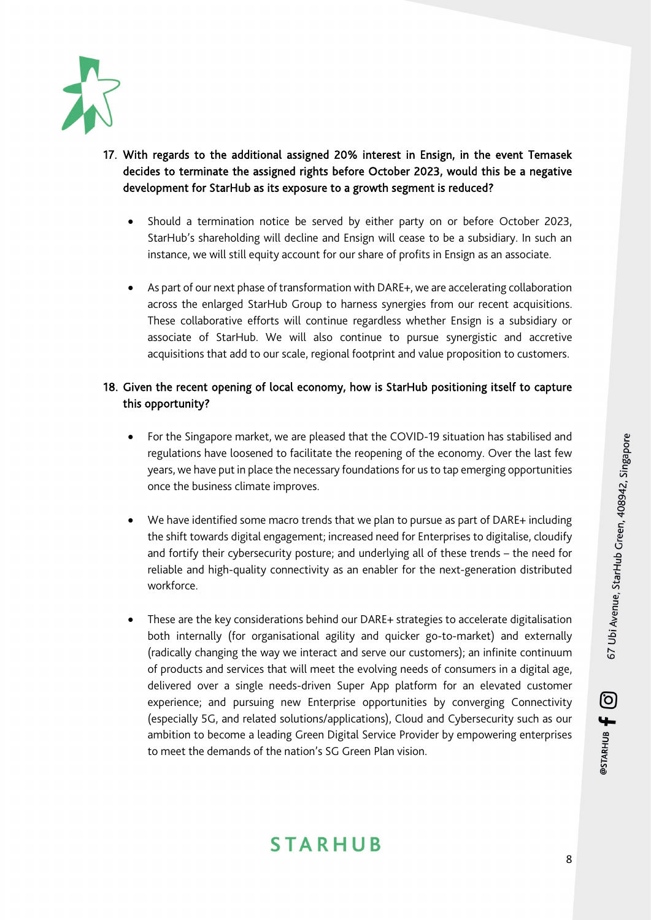

- 17. With regards to the additional assigned 20% interest in Ensign, in the event Temasek decides to terminate the assigned rights before October 2023, would this be a negative development for StarHub as its exposure to a growth segment is reduced?
	- Should a termination notice be served by either party on or before October 2023, StarHub's shareholding will decline and Ensign will cease to be a subsidiary. In such an instance, we will still equity account for our share of profits in Ensign as an associate.
	- As part of our next phase of transformation with DARE+, we are accelerating collaboration across the enlarged StarHub Group to harness synergies from our recent acquisitions. These collaborative efforts will continue regardless whether Ensign is a subsidiary or associate of StarHub. We will also continue to pursue synergistic and accretive acquisitions that add to our scale, regional footprint and value proposition to customers.

### 18. Given the recent opening of local economy, how is StarHub positioning itself to capture this opportunity?

- For the Singapore market, we are pleased that the COVID-19 situation has stabilised and regulations have loosened to facilitate the reopening of the economy. Over the last few years, we have put in place the necessary foundations for us to tap emerging opportunities once the business climate improves.
- We have identified some macro trends that we plan to pursue as part of DARE+ including the shift towards digital engagement; increased need for Enterprises to digitalise, cloudify and fortify their cybersecurity posture; and underlying all of these trends – the need for reliable and high-quality connectivity as an enabler for the next-generation distributed workforce.
- These are the key considerations behind our DARE+ strategies to accelerate digitalisation both internally (for organisational agility and quicker go-to-market) and externally (radically changing the way we interact and serve our customers); an infinite continuum of products and services that will meet the evolving needs of consumers in a digital age, delivered over a single needs-driven Super App platform for an elevated customer experience; and pursuing new Enterprise opportunities by converging Connectivity (especially 5G, and related solutions/applications), Cloud and Cybersecurity such as our ambition to become a leading Green Digital Service Provider by empowering enterprises to meet the demands of the nation's SG Green Plan vision.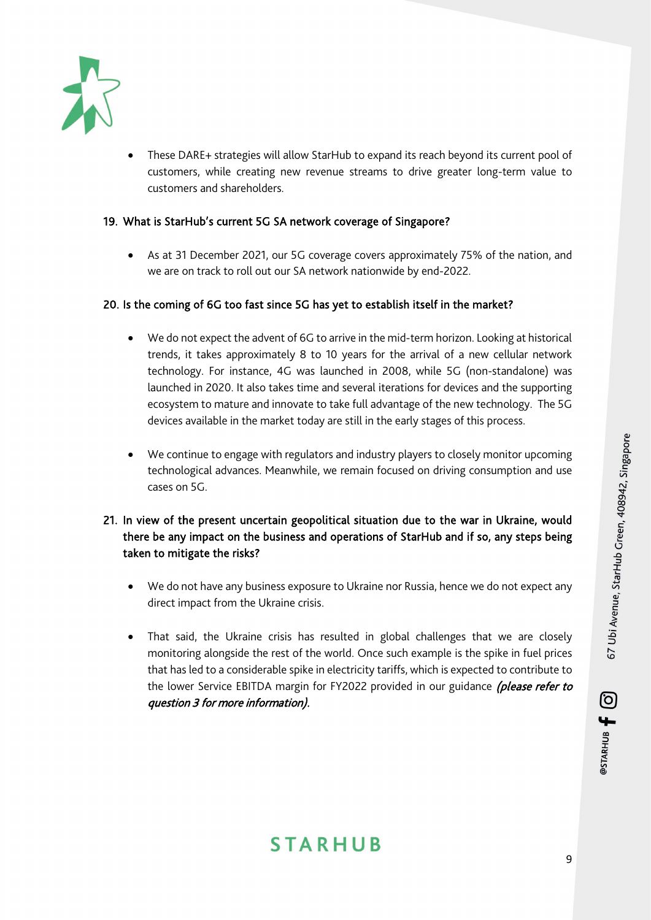

• These DARE+ strategies will allow StarHub to expand its reach beyond its current pool of customers, while creating new revenue streams to drive greater long-term value to customers and shareholders.

#### 19. What is StarHub's current 5G SA network coverage of Singapore?

• As at 31 December 2021, our 5G coverage covers approximately 75% of the nation, and we are on track to roll out our SA network nationwide by end-2022.

#### 20. Is the coming of 6G too fast since 5G has yet to establish itself in the market?

- We do not expect the advent of 6G to arrive in the mid-term horizon. Looking at historical trends, it takes approximately 8 to 10 years for the arrival of a new cellular network technology. For instance, 4G was launched in 2008, while 5G (non-standalone) was launched in 2020. It also takes time and several iterations for devices and the supporting ecosystem to mature and innovate to take full advantage of the new technology. The 5G devices available in the market today are still in the early stages of this process.
- We continue to engage with regulators and industry players to closely monitor upcoming technological advances. Meanwhile, we remain focused on driving consumption and use cases on 5G.

### 21. In view of the present uncertain geopolitical situation due to the war in Ukraine, would there be any impact on the business and operations of StarHub and if so, any steps being taken to mitigate the risks?

- We do not have any business exposure to Ukraine nor Russia, hence we do not expect any direct impact from the Ukraine crisis.
- That said, the Ukraine crisis has resulted in global challenges that we are closely monitoring alongside the rest of the world. Once such example is the spike in fuel prices that has led to a considerable spike in electricity tariffs, which is expected to contribute to the lower Service EBITDA margin for FY2022 provided in our guidance (please refer to question 3 for more information).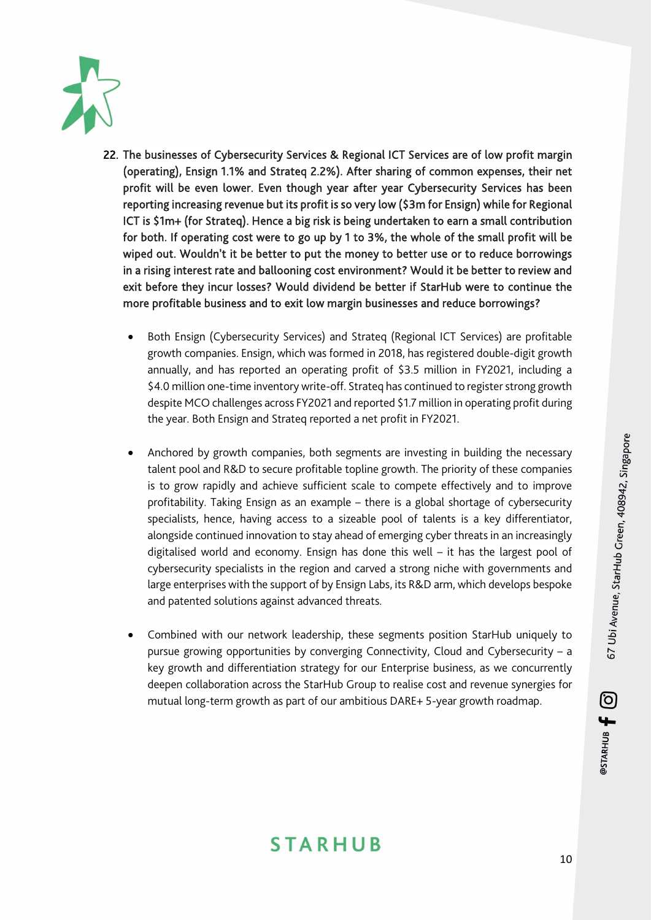

- 22. The businesses of Cybersecurity Services & Regional ICT Services are of low profit margin (operating), Ensign 1.1% and Strateq 2.2%). After sharing of common expenses, their net profit will be even lower. Even though year after year Cybersecurity Services has been reporting increasing revenue but its profit is so very low (\$3m for Ensign) while for Regional ICT is \$1m+ (for Strateq). Hence a big risk is being undertaken to earn a small contribution for both. If operating cost were to go up by 1 to 3%, the whole of the small profit will be wiped out. Wouldn't it be better to put the money to better use or to reduce borrowings in a rising interest rate and ballooning cost environment? Would it be better to review and exit before they incur losses? Would dividend be better if StarHub were to continue the more profitable business and to exit low margin businesses and reduce borrowings?
	- Both Ensign (Cybersecurity Services) and Strateq (Regional ICT Services) are profitable growth companies. Ensign, which was formed in 2018, has registered double-digit growth annually, and has reported an operating profit of \$3.5 million in FY2021, including a \$4.0 million one-time inventory write-off. Strateq has continued to register strong growth despite MCO challenges across FY2021 and reported \$1.7 million in operating profit during the year. Both Ensign and Strateq reported a net profit in FY2021.
	- Anchored by growth companies, both segments are investing in building the necessary talent pool and R&D to secure profitable topline growth. The priority of these companies is to grow rapidly and achieve sufficient scale to compete effectively and to improve profitability. Taking Ensign as an example – there is a global shortage of cybersecurity specialists, hence, having access to a sizeable pool of talents is a key differentiator, alongside continued innovation to stay ahead of emerging cyber threats in an increasingly digitalised world and economy. Ensign has done this well – it has the largest pool of cybersecurity specialists in the region and carved a strong niche with governments and large enterprises with the support of by Ensign Labs, its R&D arm, which develops bespoke and patented solutions against advanced threats.
	- Combined with our network leadership, these segments position StarHub uniquely to pursue growing opportunities by converging Connectivity, Cloud and Cybersecurity – a key growth and differentiation strategy for our Enterprise business, as we concurrently deepen collaboration across the StarHub Group to realise cost and revenue synergies for mutual long-term growth as part of our ambitious DARE+ 5-year growth roadmap.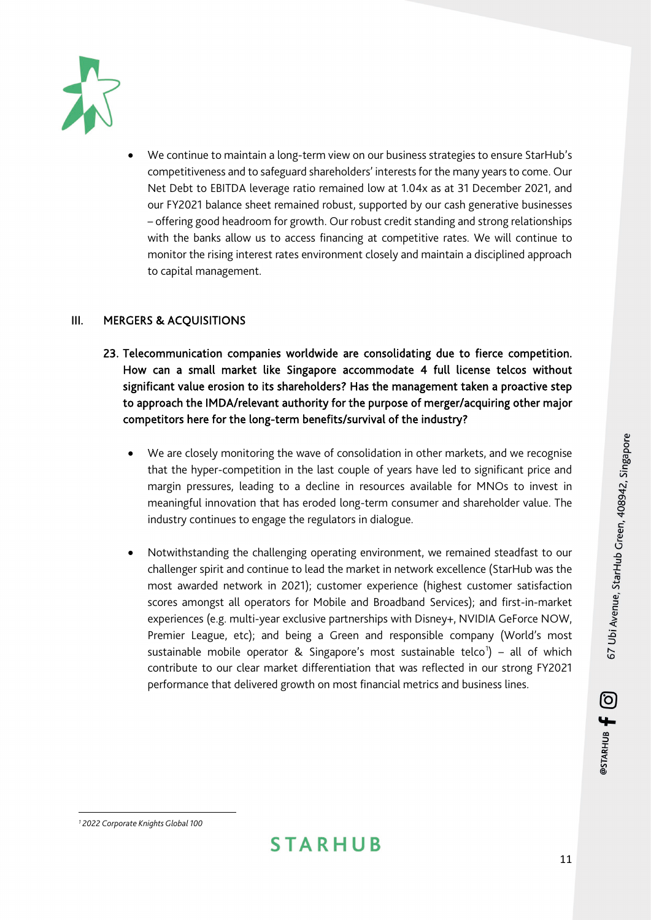

• We continue to maintain a long-term view on our business strategies to ensure StarHub's competitiveness and to safeguard shareholders' interests for the many years to come. Our Net Debt to EBITDA leverage ratio remained low at 1.04x as at 31 December 2021, and our FY2021 balance sheet remained robust, supported by our cash generative businesses – offering good headroom for growth. Our robust credit standing and strong relationships with the banks allow us to access financing at competitive rates. We will continue to monitor the rising interest rates environment closely and maintain a disciplined approach to capital management.

### III. MERGERS & ACQUISITIONS

- 23. Telecommunication companies worldwide are consolidating due to fierce competition. How can a small market like Singapore accommodate 4 full license telcos without significant value erosion to its shareholders? Has the management taken a proactive step to approach the IMDA/relevant authority for the purpose of merger/acquiring other major competitors here for the long-term benefits/survival of the industry?
	- We are closely monitoring the wave of consolidation in other markets, and we recognise that the hyper-competition in the last couple of years have led to significant price and margin pressures, leading to a decline in resources available for MNOs to invest in meaningful innovation that has eroded long-term consumer and shareholder value. The industry continues to engage the regulators in dialogue.
	- Notwithstanding the challenging operating environment, we remained steadfast to our challenger spirit and continue to lead the market in network excellence (StarHub was the most awarded network in 2021); customer experience (highest customer satisfaction scores amongst all operators for Mobile and Broadband Services); and first-in-market experiences (e.g. multi-year exclusive partnerships with Disney+, NVIDIA GeForce NOW, Premier League, etc); and being a Green and responsible company (World's most sustainable mobile operator & Singapore's most sustainable telco<sup>[1](#page-10-0)</sup>) – all of which contribute to our clear market differentiation that was reflected in our strong FY2021 performance that delivered growth on most financial metrics and business lines.

@STARHUB <del>[</del> 0

<span id="page-10-0"></span>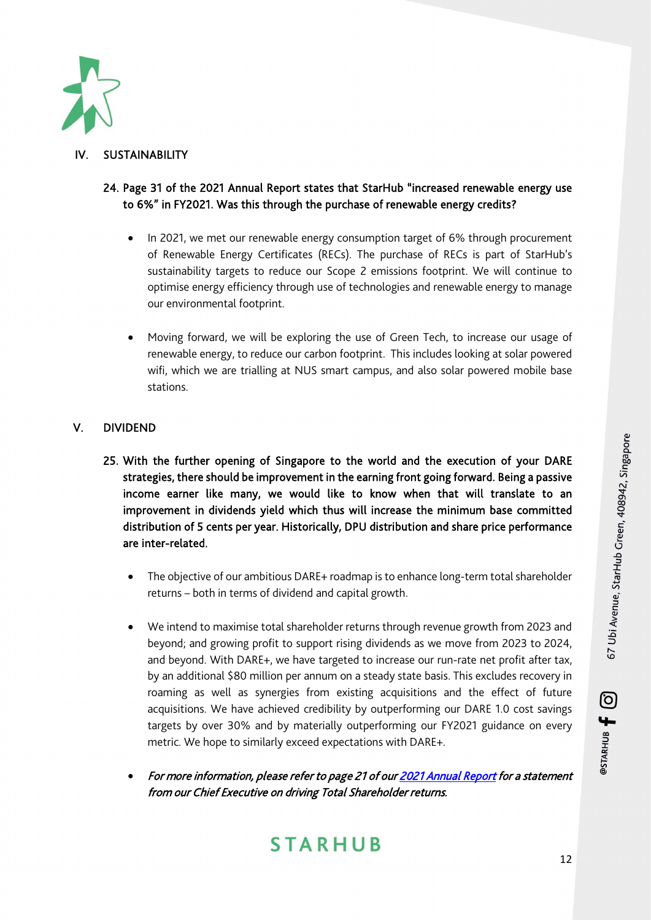

### **SUSTAINABILITY**

### 24. Page 31 of the 2021 Annual Report states that StarHub "increased renewable energy use to 6%" in FY2021. Was this through the purchase of renewable energy credits?

- In 2021, we met our renewable energy consumption target of 6% through procurement of Renewable Energy Certificates (RECs). The purchase of RECs is part of StarHub's sustainability targets to reduce our Scope 2 emissions footprint. We will continue to optimise energy efficiency through use of technologies and renewable energy to manage our environmental footprint.
- Moving forward, we will be exploring the use of Green Tech, to increase our usage of renewable energy, to reduce our carbon footprint. This includes looking at solar powered wifi, which we are trialling at NUS smart campus, and also solar powered mobile base stations.

### V. DIVIDEND

- 25. With the further opening of Singapore to the world and the execution of your DARE strategies, there should be improvement in the earning front going forward. Being a passive income earner like many, we would like to know when that will translate to an improvement in dividends yield which thus will increase the minimum base committed distribution of 5 cents per year. Historically, DPU distribution and share price performance are inter-related.
	- The objective of our ambitious DARE+ roadmap is to enhance long-term total shareholder returns – both in terms of dividend and capital growth.
	- We intend to maximise total shareholder returns through revenue growth from 2023 and beyond; and growing profit to support rising dividends as we move from 2023 to 2024, and beyond. With DARE+, we have targeted to increase our run-rate net profit after tax, by an additional \$80 million per annum on a steady state basis. This excludes recovery in roaming as well as synergies from existing acquisitions and the effect of future acquisitions. We have achieved credibility by outperforming our DARE 1.0 cost savings targets by over 30% and by materially outperforming our FY2021 guidance on every metric. We hope to similarly exceed expectations with DARE+.
	- For more information, please refer to page 21 of ou[r 2021 Annual Report f](https://ir.starhub.com/newsroom/20220404_071127_CC3_TLA2EP0G7SO429A9.1.pdf)or a statement from our Chief Executive on driving Total Shareholder returns.